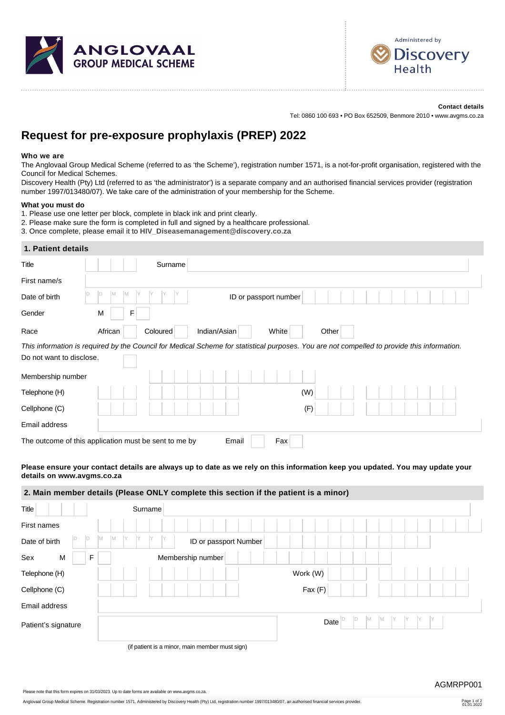



## **Contact details**

Tel: 0860 100 693 • PO Box 652509, Benmore 2010 • www.avgms.co.za

# **Request for pre-exposure prophylaxis (PREP) 2022**

#### **Who we are**

The Anglovaal Group Medical Scheme (referred to as 'the Scheme'), registration number 1571, is a not-for-profit organisation, registered with the Council for Medical Schemes.

Discovery Health (Pty) Ltd (referred to as 'the administrator') is a separate company and an authorised financial services provider (registration number 1997/013480/07). We take care of the administration of your membership for the Scheme.

#### **What you must do**

- 1. Please use one letter per block, complete in black ink and print clearly.
- 2. Please make sure the form is completed in full and signed by a healthcare professional.
- 3. Once complete, please email it to **[HIV\\_Diseasemanagement@discovery.co.za](mailto:HIV_Diseasemanagement@discovery.co.za)**

#### **1. Patient details**

| <b>Title</b>             |                                                       | Surname                  |                       |       |                                                                                                                                             |  |
|--------------------------|-------------------------------------------------------|--------------------------|-----------------------|-------|---------------------------------------------------------------------------------------------------------------------------------------------|--|
| First name/s             |                                                       |                          |                       |       |                                                                                                                                             |  |
| Date of birth            |                                                       |                          | ID or passport number |       |                                                                                                                                             |  |
| Gender                   | M<br>F                                                |                          |                       |       |                                                                                                                                             |  |
| Race                     | African                                               | Indian/Asian<br>Coloured | White                 | Other |                                                                                                                                             |  |
|                          |                                                       |                          |                       |       | This information is required by the Council for Medical Scheme for statistical purposes. You are not compelled to provide this information. |  |
| Do not want to disclose. |                                                       |                          |                       |       |                                                                                                                                             |  |
| Membership number        |                                                       |                          |                       |       |                                                                                                                                             |  |
| Telephone (H)            |                                                       |                          |                       | (W)   |                                                                                                                                             |  |
| Cellphone (C)            |                                                       |                          |                       | (F)   |                                                                                                                                             |  |
| Email address            |                                                       |                          |                       |       |                                                                                                                                             |  |
|                          | The outcome of this application must be sent to me by |                          | Fax<br>Email          |       |                                                                                                                                             |  |
|                          |                                                       |                          |                       |       | Please ensure your contact details are always up to date as we rely on this information keep you updated. You may update your               |  |

# **details on www.avgms.co.za 2. Main member details (Please ONLY complete this section if the patient is a minor)**

| Title               | Surname                                          |                              |
|---------------------|--------------------------------------------------|------------------------------|
| First names         |                                                  |                              |
| ID<br>Date of birth | Y<br>Y<br>IY<br>Iм<br>M<br>ID or passport Number |                              |
| Sex<br>F<br>M       | Membership number                                |                              |
| Telephone (H)       | Work (W)                                         |                              |
| Cellphone (C)       | Fax (F)                                          |                              |
| Email address       |                                                  |                              |
| Patient's signature |                                                  | ID<br>In<br>M<br>l M<br>Date |
|                     |                                                  |                              |

(if patient is a minor, main member must sign)

Please note that this form expires on 31/03/2023. Up to date forms are available on www.avgms.co.za.